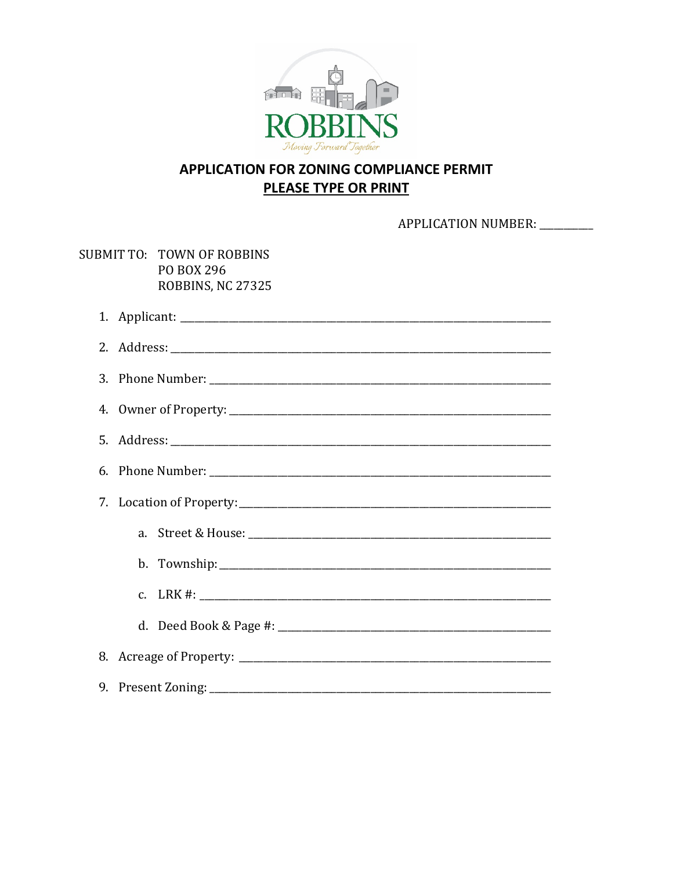

## APPLICATION FOR ZONING COMPLIANCE PERMIT **PLEASE TYPE OR PRINT**

APPLICATION NUMBER: \_\_\_\_\_\_\_\_

SUBMIT TO: TOWN OF ROBBINS PO BOX 296 ROBBINS, NC 27325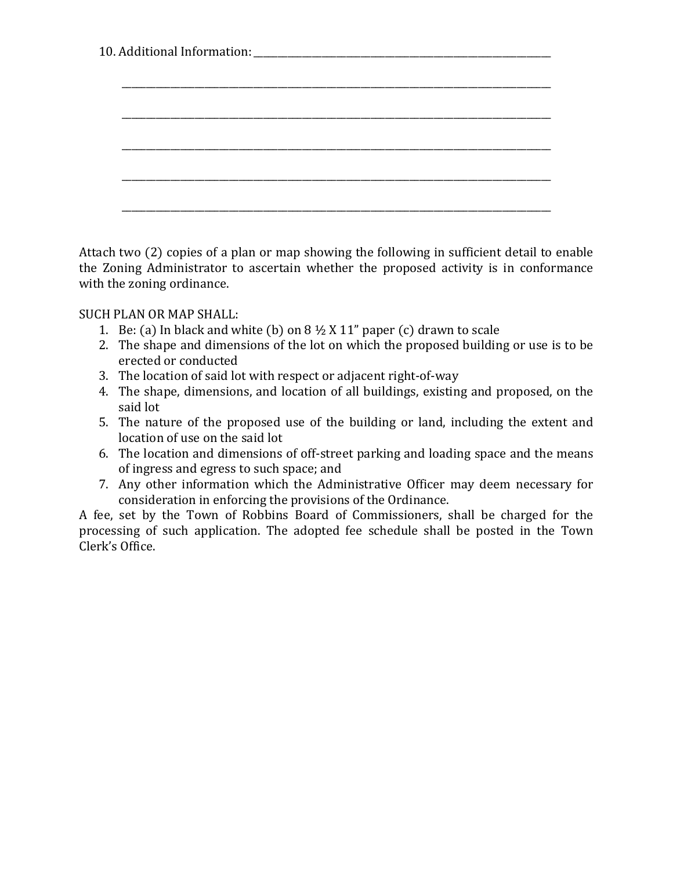10. Additional Information:

Attach two (2) copies of a plan or map showing the following in sufficient detail to enable the Zoning Administrator to ascertain whether the proposed activity is in conformance with the zoning ordinance.

SUCH PLAN OR MAP SHALL:

- 1. Be: (a) In black and white (b) on  $8 \frac{1}{2}$  X 11" paper (c) drawn to scale
- 2. The shape and dimensions of the lot on which the proposed building or use is to be erected or conducted
- 3. The location of said lot with respect or adjacent right-of-way
- 4. The shape, dimensions, and location of all buildings, existing and proposed, on the said lot
- 5. The nature of the proposed use of the building or land, including the extent and location of use on the said lot
- 6. The location and dimensions of off-street parking and loading space and the means of ingress and egress to such space; and
- 7. Any other information which the Administrative Officer may deem necessary for consideration in enforcing the provisions of the Ordinance.

A fee, set by the Town of Robbins Board of Commissioners, shall be charged for the processing of such application. The adopted fee schedule shall be posted in the Town Clerk's Office.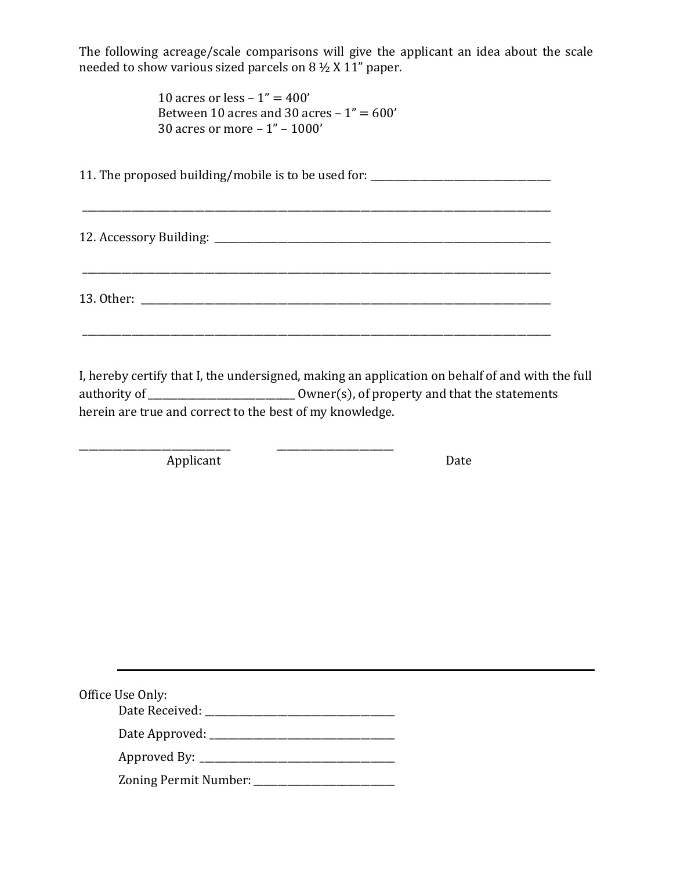The following acreage/scale comparisons will give the applicant an idea about the scale needed to show various sized parcels on 8 ½ X 11" paper.

> 10 acres or less  $-1" = 400'$ Between 10 acres and 30 acres  $-1" = 600'$ 30 acres or more – 1" – 1000'

11. The proposed building/mobile is to be used for: \_\_\_\_\_\_\_\_\_\_\_\_\_\_\_\_\_\_\_\_\_\_\_\_\_\_\_\_

\_\_\_\_\_\_\_\_\_\_\_\_\_\_\_\_\_\_\_\_\_\_\_\_\_\_\_\_\_\_\_\_\_\_\_\_\_\_\_\_\_\_\_\_\_\_\_\_\_\_\_\_\_\_\_\_\_\_\_\_\_\_\_\_\_\_\_\_\_\_\_\_\_\_\_\_\_\_\_\_\_\_\_\_\_\_\_\_\_\_\_\_\_\_\_\_

12. Accessory Building:  $\Box$ 

13. Other: \_\_\_\_\_\_\_\_\_\_\_\_\_\_\_\_\_\_\_\_\_\_\_\_\_\_\_\_\_\_\_\_\_\_\_\_\_\_\_\_\_\_\_\_\_\_\_\_\_\_\_\_\_\_\_\_\_\_\_\_\_\_\_\_\_\_\_\_\_\_\_\_\_\_\_\_\_\_\_\_\_\_\_\_

\_\_\_\_\_\_\_\_\_\_\_\_\_\_\_\_\_\_\_\_\_\_\_\_\_\_\_\_\_\_\_\_\_\_\_\_\_\_\_\_\_\_\_\_\_\_\_\_\_\_\_\_\_\_\_\_\_\_\_\_\_\_\_\_\_\_\_\_\_\_\_\_\_\_\_\_\_\_\_\_\_\_\_\_\_\_\_\_\_\_\_\_\_\_\_\_

\_\_\_\_\_\_\_\_\_\_\_\_\_\_\_\_\_\_\_\_\_\_\_\_\_\_\_\_\_\_\_\_\_\_\_\_\_\_\_\_\_\_\_\_\_\_\_\_\_\_\_\_\_\_\_\_\_\_\_\_\_\_\_\_\_\_\_\_\_\_\_\_\_\_\_\_\_\_\_\_\_\_\_\_\_\_\_\_\_\_\_\_\_\_\_\_

I, hereby certify that I, the undersigned, making an application on behalf of and with the full authority of \_\_\_\_\_\_\_\_\_\_\_\_\_\_\_\_\_\_\_\_\_\_\_\_\_\_\_\_\_\_ Owner(s), of property and that the statements herein are true and correct to the best of my knowledge.

\_\_\_\_\_\_\_\_\_\_\_\_\_\_\_\_\_\_\_\_\_\_\_\_\_\_\_\_\_\_\_ \_\_\_\_\_\_\_\_\_\_\_\_\_\_\_\_\_\_\_\_\_\_\_\_ Applicant Date

Office Use Only: Date Received: \_\_\_\_\_\_\_\_\_\_\_\_\_\_\_\_\_\_\_\_\_\_\_\_\_\_\_\_\_\_\_\_\_\_\_\_\_\_\_

Date Approved: \_\_\_\_\_\_\_\_\_\_\_\_\_\_\_\_\_\_\_\_\_\_\_\_\_\_\_\_\_\_\_\_\_\_\_\_\_\_

Approved By: \_\_\_\_\_\_\_\_\_\_\_\_\_\_\_\_\_\_\_\_\_\_\_\_\_\_\_\_\_\_\_\_\_\_\_\_\_\_\_\_

Zoning Permit Number: